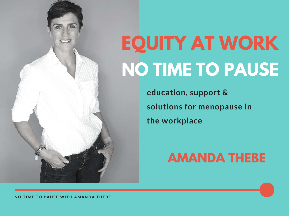## **EQUITY AT WORK NO TIME TO PAUSE**

**education, support & solutions for menopause in the workplace**

#### **AMANDA THEBE**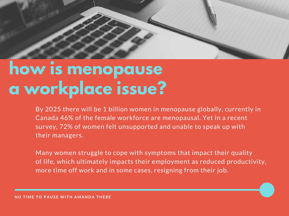

### **how is menopause a workplace issue?**

By 2025 there will be 1 billion women in menopause globally, currently in Canada 46% of the female workforce are menopausal. Yet in a recent survey, 72% of women felt unsupported and unable to speak up with their managers.

Many women struggle to cope with symptoms that impact their quality of life, which ultimately impacts their employment as reduced productivity, more time off work and in some cases, resigning from their job.

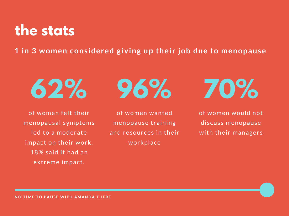#### **the stats**

**1 in 3 women considered giving up their job due to menopause**

$$
\pmb{62\%}
$$

of women felt their menopausal symptoms led to a moderate impact on their work. 18% said it had an extreme impact.

**96%**

of women wanted menopause training and resources in their workplace

**70%**

of women would not discuss menopause with their managers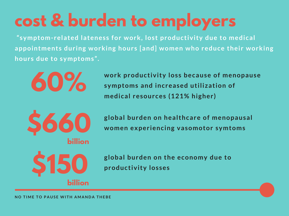## **cost & burden to employers**

**"symptom-related lateness for work, lost productivity due to medical appointments during working hours [and] women who reduce their working hours due to symptoms".**



**work productivity loss because of menopause symptoms and increased utilization of medical resources (121% higher)**

**global burden on healthcare of menopausal women experiencing vasomotor symtoms**

**\$150 billion**

**global burden on the economy due to productivity losses**

NO TIME TO PAUSE WITH AMANDA THEBE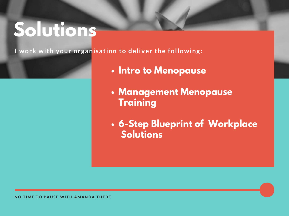### **Solutions**

**I work with your organisation to deliver the following:**

- **Intro to Menopause**
- **Management Menopause Training**
- **6-Step Blueprint of Workplace Solutions**